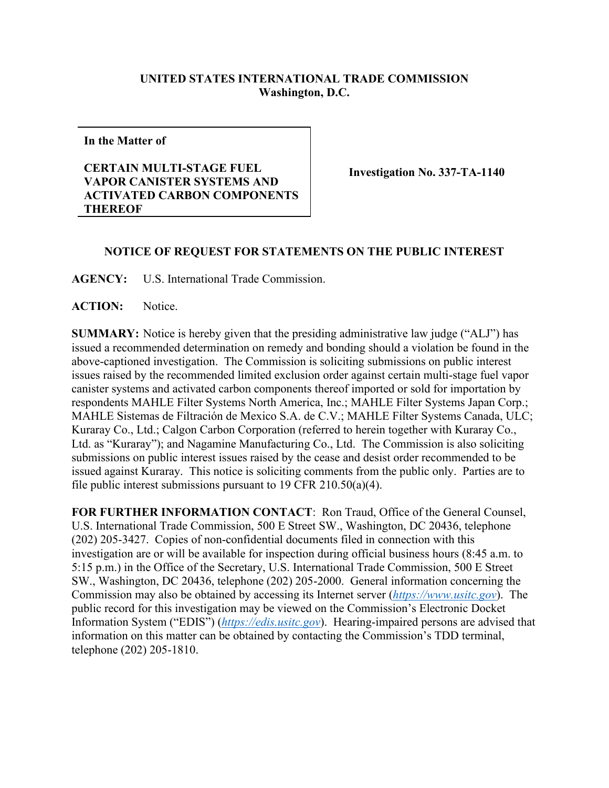## **UNITED STATES INTERNATIONAL TRADE COMMISSION Washington, D.C.**

**In the Matter of**

## **CERTAIN MULTI-STAGE FUEL VAPOR CANISTER SYSTEMS AND ACTIVATED CARBON COMPONENTS THEREOF**

**Investigation No. 337-TA-1140**

## **NOTICE OF REQUEST FOR STATEMENTS ON THE PUBLIC INTEREST**

**AGENCY:** U.S. International Trade Commission.

**ACTION:** Notice.

**SUMMARY:** Notice is hereby given that the presiding administrative law judge ("ALJ") has issued a recommended determination on remedy and bonding should a violation be found in the above-captioned investigation. The Commission is soliciting submissions on public interest issues raised by the recommended limited exclusion order against certain multi-stage fuel vapor canister systems and activated carbon components thereof imported or sold for importation by respondents MAHLE Filter Systems North America, Inc.; MAHLE Filter Systems Japan Corp.; MAHLE Sistemas de Filtración de Mexico S.A. de C.V.; MAHLE Filter Systems Canada, ULC; Kuraray Co., Ltd.; Calgon Carbon Corporation (referred to herein together with Kuraray Co., Ltd. as "Kuraray"); and Nagamine Manufacturing Co., Ltd. The Commission is also soliciting submissions on public interest issues raised by the cease and desist order recommended to be issued against Kuraray. This notice is soliciting comments from the public only. Parties are to file public interest submissions pursuant to 19 CFR 210.50(a)(4).

**FOR FURTHER INFORMATION CONTACT**: Ron Traud, Office of the General Counsel, U.S. International Trade Commission, 500 E Street SW., Washington, DC 20436, telephone (202) 205-3427. Copies of non-confidential documents filed in connection with this investigation are or will be available for inspection during official business hours (8:45 a.m. to 5:15 p.m.) in the Office of the Secretary, U.S. International Trade Commission, 500 E Street SW., Washington, DC 20436, telephone (202) 205-2000. General information concerning the Commission may also be obtained by accessing its Internet server (*[https://www.usitc.gov](https://www.usitc.gov/)*). The public record for this investigation may be viewed on the Commission's Electronic Docket Information System ("EDIS") (*[https://edis.usitc.gov](https://edis.usitc.gov/)*). Hearing-impaired persons are advised that information on this matter can be obtained by contacting the Commission's TDD terminal, telephone (202) 205-1810.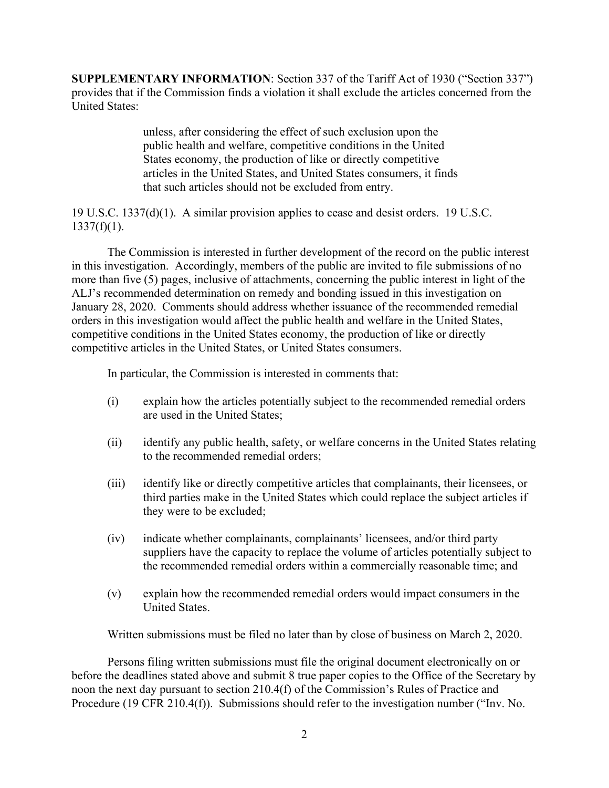**SUPPLEMENTARY INFORMATION**: Section 337 of the Tariff Act of 1930 ("Section 337") provides that if the Commission finds a violation it shall exclude the articles concerned from the United States:

> unless, after considering the effect of such exclusion upon the public health and welfare, competitive conditions in the United States economy, the production of like or directly competitive articles in the United States, and United States consumers, it finds that such articles should not be excluded from entry.

19 U.S.C. 1337(d)(1). A similar provision applies to cease and desist orders. 19 U.S.C.  $1337(f)(1)$ .

The Commission is interested in further development of the record on the public interest in this investigation. Accordingly, members of the public are invited to file submissions of no more than five (5) pages, inclusive of attachments, concerning the public interest in light of the ALJ's recommended determination on remedy and bonding issued in this investigation on January 28, 2020. Comments should address whether issuance of the recommended remedial orders in this investigation would affect the public health and welfare in the United States, competitive conditions in the United States economy, the production of like or directly competitive articles in the United States, or United States consumers.

In particular, the Commission is interested in comments that:

- (i) explain how the articles potentially subject to the recommended remedial orders are used in the United States;
- (ii) identify any public health, safety, or welfare concerns in the United States relating to the recommended remedial orders;
- (iii) identify like or directly competitive articles that complainants, their licensees, or third parties make in the United States which could replace the subject articles if they were to be excluded;
- (iv) indicate whether complainants, complainants' licensees, and/or third party suppliers have the capacity to replace the volume of articles potentially subject to the recommended remedial orders within a commercially reasonable time; and
- (v) explain how the recommended remedial orders would impact consumers in the United States.

Written submissions must be filed no later than by close of business on March 2, 2020.

Persons filing written submissions must file the original document electronically on or before the deadlines stated above and submit 8 true paper copies to the Office of the Secretary by noon the next day pursuant to section 210.4(f) of the Commission's Rules of Practice and Procedure (19 CFR 210.4(f)). Submissions should refer to the investigation number ("Inv. No.